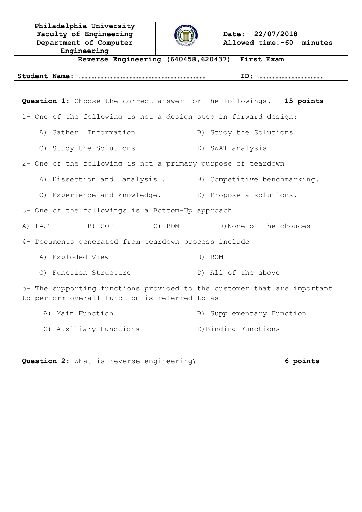**Philadelphia University Faculty of Engineering Department of Computer Engineering**



**Reverse Engineering (640458,620437) First Exam**

**Student Name:-…………………………………………………………………………… ID:-………………………………………**

|                                                              |                                                                 | Question 1:-Choose the correct answer for the followings. 15 points     |
|--------------------------------------------------------------|-----------------------------------------------------------------|-------------------------------------------------------------------------|
|                                                              | 1- One of the following is not a design step in forward design: |                                                                         |
|                                                              | A) Gather Information                                           | B) Study the Solutions                                                  |
|                                                              | C) Study the Solutions                                          | D) SWAT analysis                                                        |
| 2- One of the following is not a primary purpose of teardown |                                                                 |                                                                         |
|                                                              |                                                                 | A) Dissection and analysis. B) Competitive benchmarking.                |
|                                                              | C) Experience and knowledge. D) Propose a solutions.            |                                                                         |
| 3- One of the followings is a Bottom-Up approach             |                                                                 |                                                                         |
|                                                              |                                                                 | A) FAST B) SOP C) BOM D) None of the chouces                            |
| 4- Documents generated from teardown process include         |                                                                 |                                                                         |
|                                                              | A) Exploded View                                                | B) BOM                                                                  |
|                                                              | C) Function Structure                                           | D) All of the above                                                     |
|                                                              | to perform overall function is referred to as                   | 5- The supporting functions provided to the customer that are important |
|                                                              | A) Main Function                                                | B) Supplementary Function                                               |
|                                                              | C) Auxiliary Functions                                          | D) Binding Functions                                                    |
|                                                              |                                                                 |                                                                         |

**Question 2:**-What is reverse engineering? **6 points**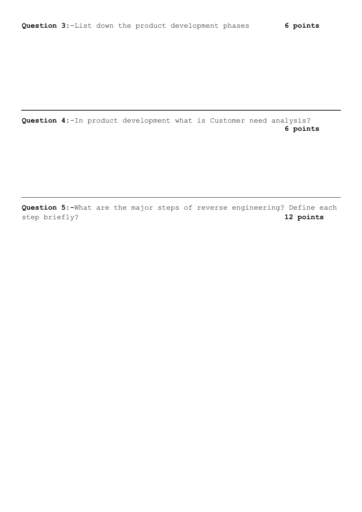**Question 4:**-In product development what is Customer need analysis? **6 points**

**Question 5:-**What are the major steps of reverse engineering? Define each step briefly? **12 points**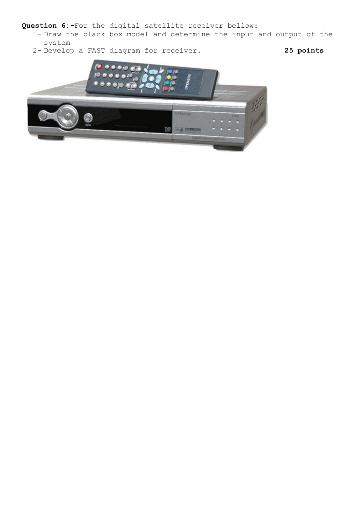**Question 6:-**For the digital satellite receiver bellow:

- 1- Draw the black box model and determine the input and output of the system
- 2- Develop a FAST diagram for receiver. **25 points**

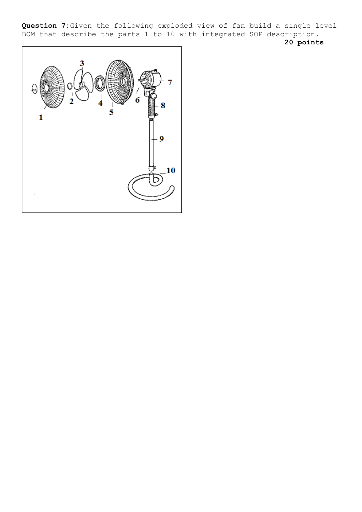**Question 7:**Given the following exploded view of fan build a single level BOM that describe the parts 1 to 10 with integrated SOP description. **20 points**